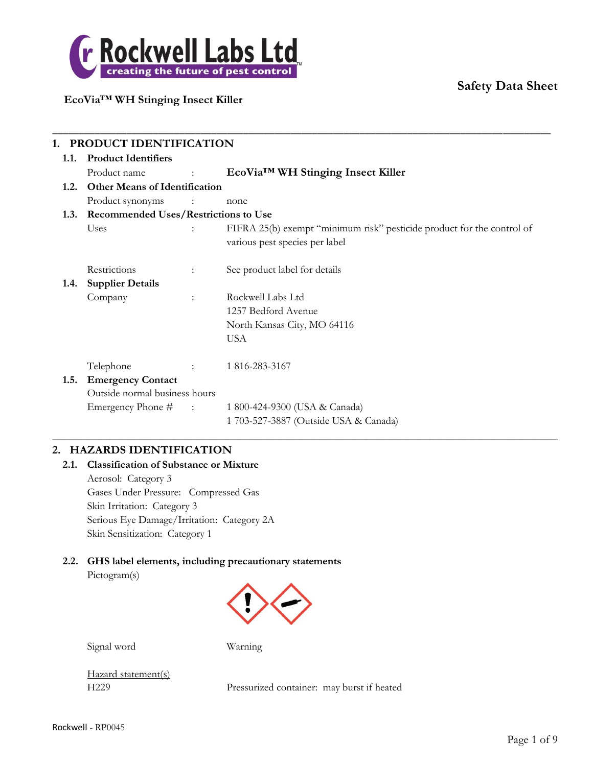

### **EcoVia™ WH Stinging Insect Killer**

|      | PRODUCT IDENTIFICATION                            |                      |                                                                        |  |  |
|------|---------------------------------------------------|----------------------|------------------------------------------------------------------------|--|--|
| 1.1. | <b>Product Identifiers</b>                        |                      |                                                                        |  |  |
|      | Product name<br><b>Contract Contract Contract</b> |                      | EcoVia™ WH Stinging Insect Killer                                      |  |  |
| 1.2. | <b>Other Means of Identification</b>              |                      |                                                                        |  |  |
|      | Product synonyms :                                |                      | none                                                                   |  |  |
| 1.3. | <b>Recommended Uses/Restrictions to Use</b>       |                      |                                                                        |  |  |
|      | Uses                                              |                      | FIFRA 25(b) exempt "minimum risk" pesticide product for the control of |  |  |
|      |                                                   |                      | various pest species per label                                         |  |  |
|      | Restrictions                                      | $\ddot{\phantom{a}}$ | See product label for details                                          |  |  |
| 1.4. | <b>Supplier Details</b>                           |                      |                                                                        |  |  |
|      | Company                                           |                      | Rockwell Labs Ltd                                                      |  |  |
|      |                                                   |                      | 1257 Bedford Avenue                                                    |  |  |
|      |                                                   |                      | North Kansas City, MO 64116                                            |  |  |
|      |                                                   |                      | <b>USA</b>                                                             |  |  |
|      | Telephone                                         |                      | 1 816-283-3167                                                         |  |  |
| 1.5. | <b>Emergency Contact</b>                          |                      |                                                                        |  |  |
|      | Outside normal business hours                     |                      |                                                                        |  |  |
|      | Emergency Phone $#$ :                             |                      | 1 800-424-9300 (USA & Canada)                                          |  |  |
|      |                                                   |                      | 1 703-527-3887 (Outside USA & Canada)                                  |  |  |

 $\_$  , and the set of the set of the set of the set of the set of the set of the set of the set of the set of the set of the set of the set of the set of the set of the set of the set of the set of the set of the set of th

\_\_\_\_\_\_\_\_\_\_\_\_\_\_\_\_\_\_\_\_\_\_\_\_\_\_\_\_\_\_\_\_\_\_\_\_\_\_\_\_\_\_\_\_\_\_\_\_\_\_\_\_\_\_\_\_\_\_\_\_\_\_\_\_\_\_\_\_\_\_\_\_\_\_\_\_\_\_\_\_\_\_\_\_\_\_\_\_\_\_\_\_\_\_

#### **2. HAZARDS IDENTIFICATION**

### **2.1. Classification of Substance or Mixture**

Aerosol: Category 3 Gases Under Pressure: Compressed Gas Skin Irritation: Category 3 Serious Eye Damage/Irritation: Category 2A Skin Sensitization: Category 1

# **2.2. GHS label elements, including precautionary statements**

Pictogram(s)



Signal word Warning

Hazard statement(s)

H229 Pressurized container: may burst if heated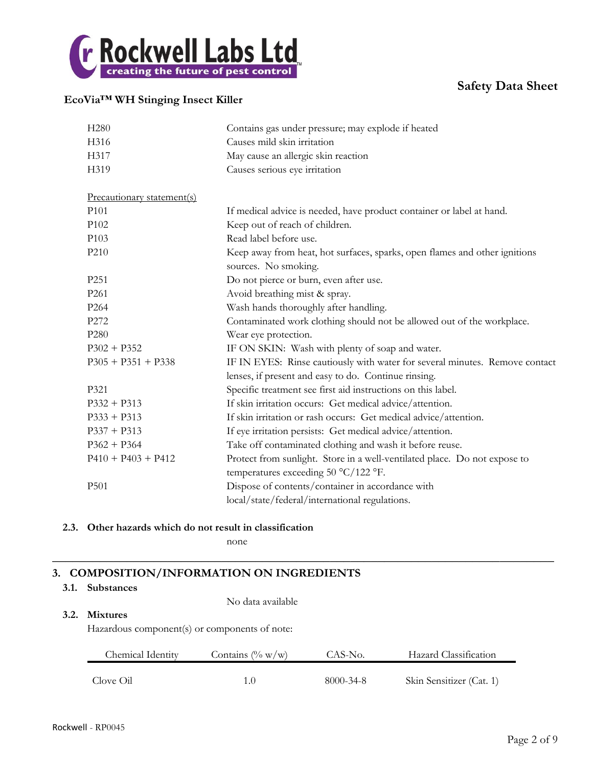

### **EcoVia™ WH Stinging Insect Killer**

| H <sub>280</sub>           | Contains gas under pressure; may explode if heated                          |  |  |
|----------------------------|-----------------------------------------------------------------------------|--|--|
| H316                       | Causes mild skin irritation                                                 |  |  |
| H317                       | May cause an allergic skin reaction                                         |  |  |
| H319                       | Causes serious eye irritation                                               |  |  |
|                            |                                                                             |  |  |
| Precautionary statement(s) |                                                                             |  |  |
| P <sub>101</sub>           | If medical advice is needed, have product container or label at hand.       |  |  |
| P <sub>102</sub>           | Keep out of reach of children.                                              |  |  |
| P103                       | Read label before use.                                                      |  |  |
| P210                       | Keep away from heat, hot surfaces, sparks, open flames and other ignitions  |  |  |
|                            | sources. No smoking.                                                        |  |  |
| P <sub>251</sub>           | Do not pierce or burn, even after use.                                      |  |  |
| P <sub>261</sub>           | Avoid breathing mist & spray.                                               |  |  |
| P <sub>264</sub>           | Wash hands thoroughly after handling.                                       |  |  |
| P272                       | Contaminated work clothing should not be allowed out of the workplace.      |  |  |
| P <sub>280</sub>           | Wear eye protection.                                                        |  |  |
| $P302 + P352$              | IF ON SKIN: Wash with plenty of soap and water.                             |  |  |
| $P305 + P351 + P338$       | IF IN EYES: Rinse cautiously with water for several minutes. Remove contact |  |  |
|                            | lenses, if present and easy to do. Continue rinsing.                        |  |  |
| P321                       | Specific treatment see first aid instructions on this label.                |  |  |
| $P332 + P313$              | If skin irritation occurs: Get medical advice/attention.                    |  |  |
| $P333 + P313$              | If skin irritation or rash occurs: Get medical advice/attention.            |  |  |
| $P337 + P313$              | If eye irritation persists: Get medical advice/attention.                   |  |  |
| $P362 + P364$              | Take off contaminated clothing and wash it before reuse.                    |  |  |
| $P410 + P403 + P412$       | Protect from sunlight. Store in a well-ventilated place. Do not expose to   |  |  |
|                            | temperatures exceeding 50 °C/122 °F.                                        |  |  |
| P501                       | Dispose of contents/container in accordance with                            |  |  |
|                            | local/state/federal/international regulations.                              |  |  |

#### **2.3. Other hazards which do not result in classification**

none

### **3. COMPOSITION/INFORMATION ON INGREDIENTS**

#### **3.1. Substances**

No data available

#### **3.2. Mixtures**

Hazardous component(s) or components of note:

| Chemical Identity | Contains $(\% w/w)$ | CAS-No.   | Hazard Classification    |
|-------------------|---------------------|-----------|--------------------------|
| Clove Oil         | 10                  | 8000-34-8 | Skin Sensitizer (Cat. 1) |

**\_\_\_\_\_\_\_\_\_\_\_\_\_\_\_\_\_\_\_\_\_\_\_\_\_\_\_\_\_\_\_\_\_\_\_\_\_\_\_\_\_\_\_\_\_\_\_\_\_\_\_\_\_\_\_\_\_\_\_\_\_\_\_\_\_\_\_\_\_\_\_\_\_\_**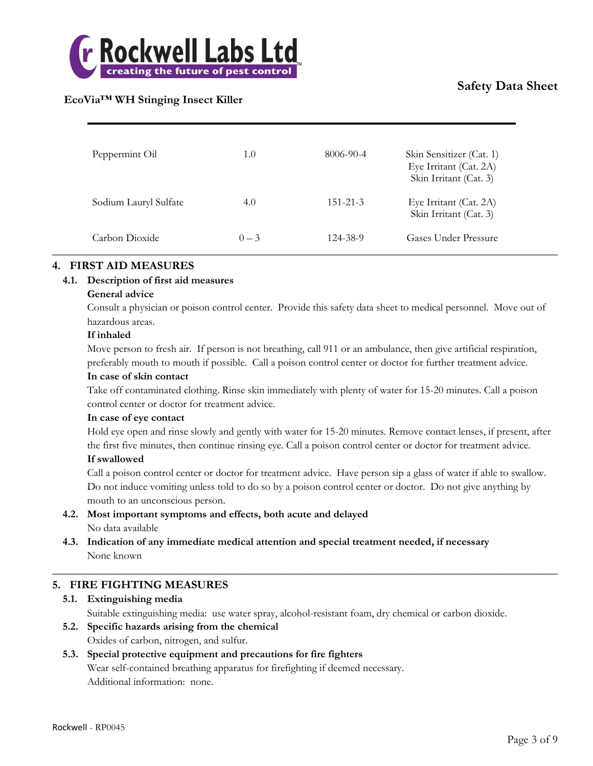

### **EcoVia™ WH Stinging Insect Killer**

| Peppermint Oil        | 1.0     | 8006-90-4      | Skin Sensitizer (Cat. 1)<br>Eye Irritant (Cat. 2A)<br>Skin Irritant (Cat. 3) |
|-----------------------|---------|----------------|------------------------------------------------------------------------------|
| Sodium Lauryl Sulfate | 4.0     | $151 - 21 - 3$ | Eye Irritant (Cat. 2A)<br>Skin Irritant (Cat. 3)                             |
| Carbon Dioxide        | $0 - 3$ | 124-38-9       | Gases Under Pressure                                                         |

#### **4. FIRST AID MEASURES**

#### **4.1. Description of first aid measures**

#### **General advice**

Consult a physician or poison control center. Provide this safety data sheet to medical personnel. Move out of hazardous areas.

#### **If inhaled**

Move person to fresh air. If person is not breathing, call 911 or an ambulance, then give artificial respiration, preferably mouth to mouth if possible. Call a poison control center or doctor for further treatment advice.

#### **In case of skin contact**

Take off contaminated clothing. Rinse skin immediately with plenty of water for 15-20 minutes. Call a poison control center or doctor for treatment advice.

#### **In case of eye contact**

Hold eye open and rinse slowly and gently with water for 15-20 minutes. Remove contact lenses, if present, after the first five minutes, then continue rinsing eye. Call a poison control center or doctor for treatment advice.

#### **If swallowed**

Call a poison control center or doctor for treatment advice. Have person sip a glass of water if able to swallow. Do not induce vomiting unless told to do so by a poison control center or doctor. Do not give anything by mouth to an unconscious person.

 $\_$  , and the set of the set of the set of the set of the set of the set of the set of the set of the set of the set of the set of the set of the set of the set of the set of the set of the set of the set of the set of th

#### **4.2. Most important symptoms and effects, both acute and delayed** No data available

**4.3. Indication of any immediate medical attention and special treatment needed, if necessary** None known

#### **5. FIRE FIGHTING MEASURES**

- **5.1. Extinguishing media** Suitable extinguishing media: use water spray, alcohol-resistant foam, dry chemical or carbon dioxide.
- **5.2. Specific hazards arising from the chemical** Oxides of carbon, nitrogen, and sulfur.

#### **5.3. Special protective equipment and precautions for fire fighters** Wear self-contained breathing apparatus for firefighting if deemed necessary. Additional information: none.

Rockwell - RP0045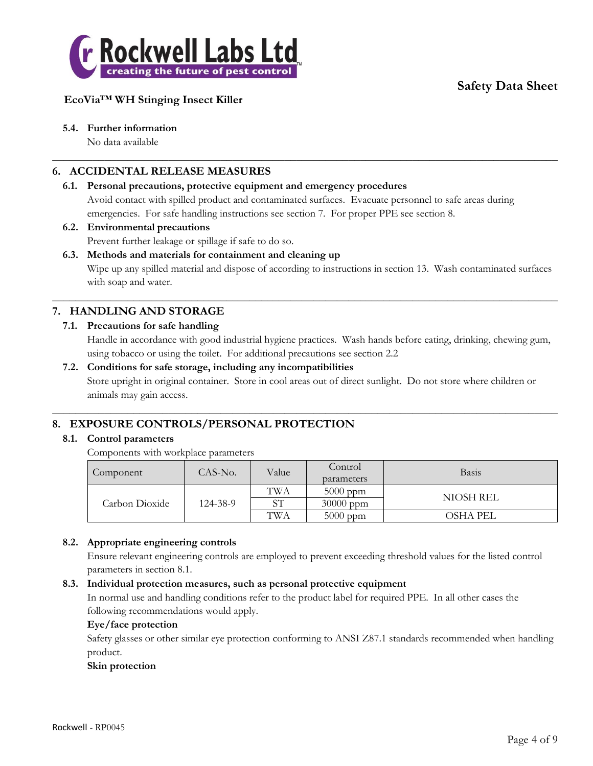

### **EcoVia™ WH Stinging Insect Killer**

#### **5.4. Further information**

No data available

#### **6. ACCIDENTAL RELEASE MEASURES**

#### **6.1. Personal precautions, protective equipment and emergency procedures** Avoid contact with spilled product and contaminated surfaces. Evacuate personnel to safe areas during emergencies. For safe handling instructions see section 7. For proper PPE see section 8.

 $\_$  , and the set of the set of the set of the set of the set of the set of the set of the set of the set of the set of the set of the set of the set of the set of the set of the set of the set of the set of the set of th

# **6.2. Environmental precautions**

Prevent further leakage or spillage if safe to do so.

#### **6.3. Methods and materials for containment and cleaning up**

Wipe up any spilled material and dispose of according to instructions in section 13. Wash contaminated surfaces with soap and water.

 $\_$  , and the set of the set of the set of the set of the set of the set of the set of the set of the set of the set of the set of the set of the set of the set of the set of the set of the set of the set of the set of th

### **7. HANDLING AND STORAGE**

#### **7.1. Precautions for safe handling**

Handle in accordance with good industrial hygiene practices. Wash hands before eating, drinking, chewing gum, using tobacco or using the toilet. For additional precautions see section 2.2

#### **7.2. Conditions for safe storage, including any incompatibilities**

Store upright in original container. Store in cool areas out of direct sunlight. Do not store where children or animals may gain access.

 $\_$  , and the set of the set of the set of the set of the set of the set of the set of the set of the set of the set of the set of the set of the set of the set of the set of the set of the set of the set of the set of th

#### **8. EXPOSURE CONTROLS/PERSONAL PROTECTION**

#### **8.1. Control parameters**

Components with workplace parameters

| Component      | CAS-No.  | Value | Control<br>parameters | <b>Basis</b> |
|----------------|----------|-------|-----------------------|--------------|
|                | 124-38-9 | TWA   | $5000$ ppm            | NIOSH REL    |
| Carbon Dioxide |          | SТ    | $30000$ ppm           |              |
|                |          | TWA   | $5000$ ppm            | OSHA PEL     |

#### **8.2. Appropriate engineering controls**

Ensure relevant engineering controls are employed to prevent exceeding threshold values for the listed control parameters in section 8.1.

#### **8.3. Individual protection measures, such as personal protective equipment**

In normal use and handling conditions refer to the product label for required PPE. In all other cases the following recommendations would apply.

#### **Eye/face protection**

Safety glasses or other similar eye protection conforming to ANSI Z87.1 standards recommended when handling product.

#### **Skin protection**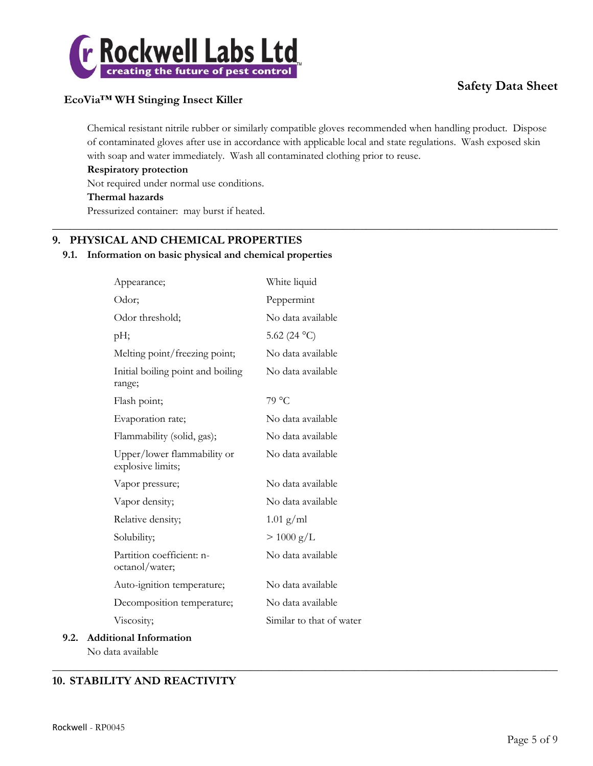

### **EcoVia™ WH Stinging Insect Killer**

Chemical resistant nitrile rubber or similarly compatible gloves recommended when handling product. Dispose of contaminated gloves after use in accordance with applicable local and state regulations. Wash exposed skin with soap and water immediately. Wash all contaminated clothing prior to reuse.

 $\_$  , and the set of the set of the set of the set of the set of the set of the set of the set of the set of the set of the set of the set of the set of the set of the set of the set of the set of the set of the set of th

 $\_$  , and the set of the set of the set of the set of the set of the set of the set of the set of the set of the set of the set of the set of the set of the set of the set of the set of the set of the set of the set of th

#### **Respiratory protection**

Not required under normal use conditions.

#### **Thermal hazards**

Pressurized container: may burst if heated.

### **9. PHYSICAL AND CHEMICAL PROPERTIES**

#### **9.1. Information on basic physical and chemical properties**

| Appearance;                                      | White liquid             |
|--------------------------------------------------|--------------------------|
| Odor;                                            | Peppermint               |
| Odor threshold;                                  | No data available        |
| pH;                                              | 5.62 (24 °C)             |
| Melting point/freezing point;                    | No data available        |
| Initial boiling point and boiling<br>range;      | No data available        |
| Flash point;                                     | 79 °C                    |
| Evaporation rate;                                | No data available        |
| Flammability (solid, gas);                       | No data available        |
| Upper/lower flammability or<br>explosive limits; | No data available        |
| Vapor pressure;                                  | No data available        |
| Vapor density;                                   | No data available        |
| Relative density;                                | $1.01$ g/ml              |
| Solubility;                                      | $> 1000 \text{ g/L}$     |
| Partition coefficient: n-<br>octanol/water;      | No data available        |
| Auto-ignition temperature;                       | No data available        |
| Decomposition temperature;                       | No data available        |
| Viscosity;                                       | Similar to that of water |
| 9.2. Additional Information                      |                          |

No data available

### **10. STABILITY AND REACTIVITY**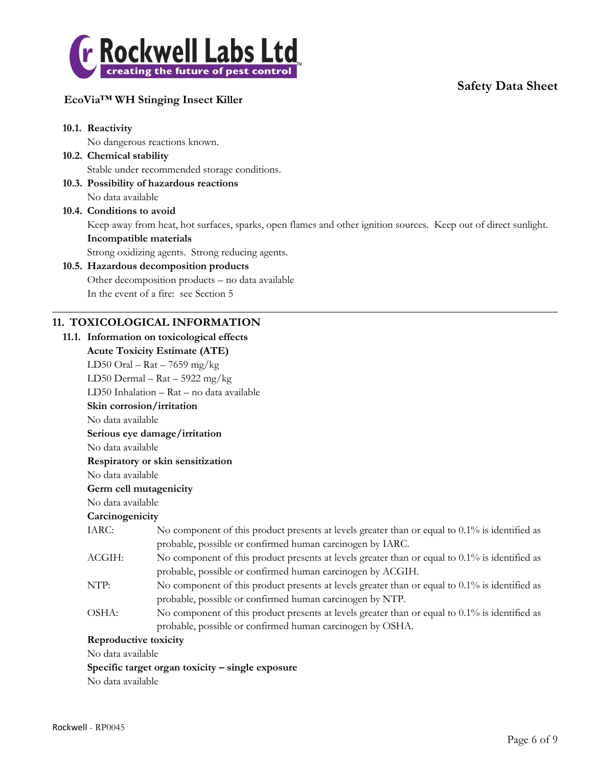

### **EcoVia™ WH Stinging Insect Killer**

### **10.1. Reactivity** No dangerous reactions known. **10.2. Chemical stability** Stable under recommended storage conditions. **10.3. Possibility of hazardous reactions** No data available **10.4. Conditions to avoid** Keep away from heat, hot surfaces, sparks, open flames and other ignition sources. Keep out of direct sunlight. **Incompatible materials** Strong oxidizing agents. Strong reducing agents. **10.5. Hazardous decomposition products** Other decomposition products – no data available In the event of a fire: see Section 5  $\_$  , and the set of the set of the set of the set of the set of the set of the set of the set of the set of the set of the set of the set of the set of the set of the set of the set of the set of the set of the set of th **11. TOXICOLOGICAL INFORMATION 11.1. Information on toxicological effects Acute Toxicity Estimate (ATE)** LD50 Oral –  $\text{Rat}$  – 7659 mg/kg LD50 Dermal –  $\text{Rat} - 5922 \text{ mg/kg}$ LD50 Inhalation – Rat – no data available **Skin corrosion/irritation** No data available **Serious eye damage/irritation** No data available **Respiratory or skin sensitization** No data available **Germ cell mutagenicity** No data available **Carcinogenicity** IARC: No component of this product presents at levels greater than or equal to 0.1% is identified as probable, possible or confirmed human carcinogen by IARC. ACGIH: No component of this product presents at levels greater than or equal to 0.1% is identified as probable, possible or confirmed human carcinogen by ACGIH. NTP: No component of this product presents at levels greater than or equal to  $0.1\%$  is identified as probable, possible or confirmed human carcinogen by NTP.

OSHA: No component of this product presents at levels greater than or equal to 0.1% is identified as probable, possible or confirmed human carcinogen by OSHA.

#### **Reproductive toxicity**

No data available

#### **Specific target organ toxicity – single exposure**

No data available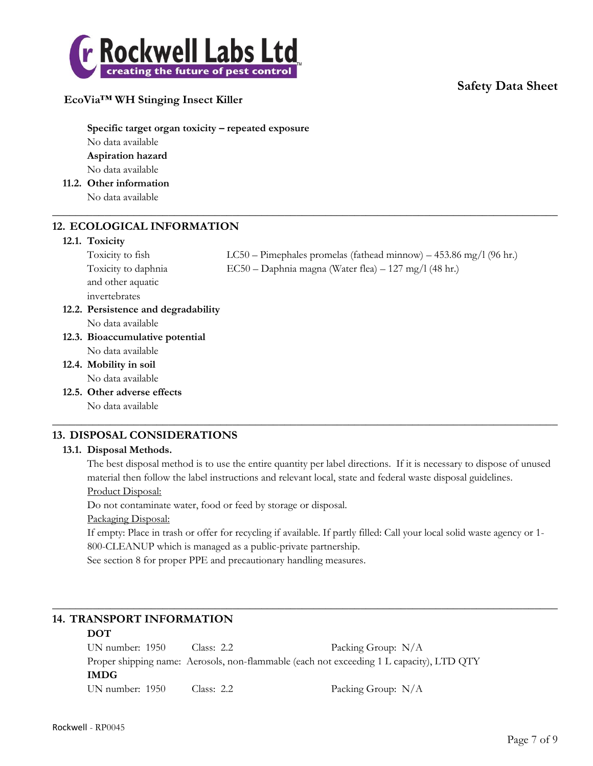

#### **EcoVia™ WH Stinging Insect Killer**

**Specific target organ toxicity – repeated exposure** No data available **Aspiration hazard** No data available

**11.2. Other information**

No data available

#### **12. ECOLOGICAL INFORMATION**

#### **12.1. Toxicity**

and other aquatic invertebrates

Toxicity to fish LC50 – Pimephales promelas (fathead minnow) – 453.86 mg/l (96 hr.) Toxicity to daphnia EC50 – Daphnia magna (Water flea) – 127 mg/l (48 hr.)

- **12.2. Persistence and degradability** No data available
- **12.3. Bioaccumulative potential** No data available

**12.4. Mobility in soil** No data available

**12.5. Other adverse effects**

No data available

#### **13. DISPOSAL CONSIDERATIONS**

#### **13.1. Disposal Methods.**

The best disposal method is to use the entire quantity per label directions. If it is necessary to dispose of unused material then follow the label instructions and relevant local, state and federal waste disposal guidelines.

 $\_$  , and the set of the set of the set of the set of the set of the set of the set of the set of the set of the set of the set of the set of the set of the set of the set of the set of the set of the set of the set of th

 $\_$  , and the set of the set of the set of the set of the set of the set of the set of the set of the set of the set of the set of the set of the set of the set of the set of the set of the set of the set of the set of th

Product Disposal:

Do not contaminate water, food or feed by storage or disposal.

Packaging Disposal:

If empty: Place in trash or offer for recycling if available. If partly filled: Call your local solid waste agency or 1- 800-CLEANUP which is managed as a public-private partnership.

 $\_$  , and the set of the set of the set of the set of the set of the set of the set of the set of the set of the set of the set of the set of the set of the set of the set of the set of the set of the set of the set of th

See section 8 for proper PPE and precautionary handling measures.

### **14. TRANSPORT INFORMATION**

#### **DOT**

UN number: 1950 Class: 2.2 Packing Group: N/A Proper shipping name: Aerosols, non-flammable (each not exceeding 1 L capacity), LTD QTY **IMDG** UN number: 1950 Class: 2.2 Packing Group: N/A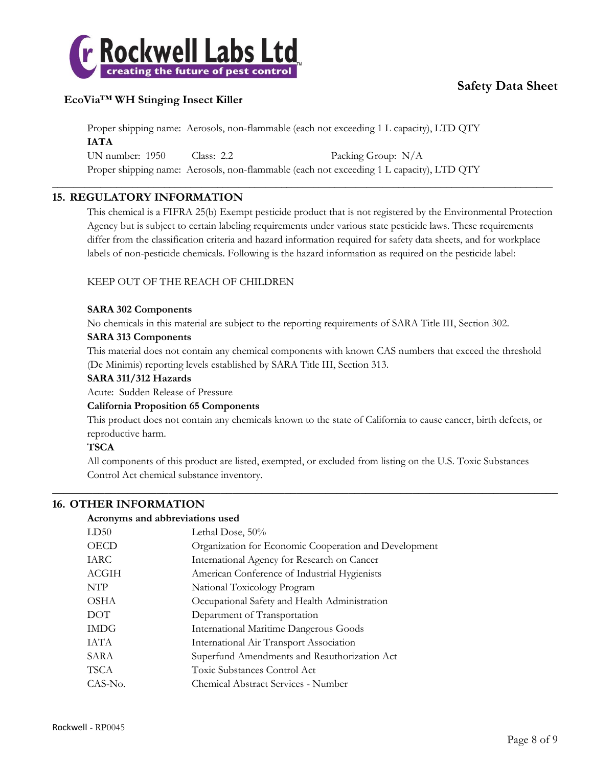

### **EcoVia™ WH Stinging Insect Killer**

Proper shipping name: Aerosols, non-flammable (each not exceeding 1 L capacity), LTD QTY **IATA** UN number: 1950 Class: 2.2 Packing Group: N/A Proper shipping name: Aerosols, non-flammable (each not exceeding 1 L capacity), LTD QTY

\_\_\_\_\_\_\_\_\_\_\_\_\_\_\_\_\_\_\_\_\_\_\_\_\_\_\_\_\_\_\_\_\_\_\_\_\_\_\_\_\_\_\_\_\_\_\_\_\_\_\_\_\_\_\_\_\_\_\_\_\_\_\_\_\_\_\_\_\_\_\_\_\_\_\_\_\_\_\_\_\_\_\_\_\_\_\_\_\_\_\_\_\_\_

#### **15. REGULATORY INFORMATION**

This chemical is a FIFRA 25(b) Exempt pesticide product that is not registered by the Environmental Protection Agency but is subject to certain labeling requirements under various state pesticide laws. These requirements differ from the classification criteria and hazard information required for safety data sheets, and for workplace labels of non-pesticide chemicals. Following is the hazard information as required on the pesticide label:

#### KEEP OUT OF THE REACH OF CHILDREN

#### **SARA 302 Components**

No chemicals in this material are subject to the reporting requirements of SARA Title III, Section 302.

#### **SARA 313 Components**

This material does not contain any chemical components with known CAS numbers that exceed the threshold (De Minimis) reporting levels established by SARA Title III, Section 313.

#### **SARA 311/312 Hazards**

Acute: Sudden Release of Pressure

#### **California Proposition 65 Components**

This product does not contain any chemicals known to the state of California to cause cancer, birth defects, or reproductive harm.

#### **TSCA**

All components of this product are listed, exempted, or excluded from listing on the U.S. Toxic Substances Control Act chemical substance inventory.

 $\_$  , and the set of the set of the set of the set of the set of the set of the set of the set of the set of the set of the set of the set of the set of the set of the set of the set of the set of the set of the set of th

#### **16. OTHER INFORMATION**

#### **Acronyms and abbreviations used**

| LD50        | Lethal Dose, 50%                                      |
|-------------|-------------------------------------------------------|
| <b>OECD</b> | Organization for Economic Cooperation and Development |
| IARC        | International Agency for Research on Cancer           |
| ACGIH       | American Conference of Industrial Hygienists          |
| <b>NTP</b>  | National Toxicology Program                           |
| OSHA        | Occupational Safety and Health Administration         |
| DOT         | Department of Transportation                          |
| <b>IMDG</b> | <b>International Maritime Dangerous Goods</b>         |
| IATA        | International Air Transport Association               |
| SARA        | Superfund Amendments and Reauthorization Act          |
| TSCA        | Toxic Substances Control Act                          |
| CAS-No.     | Chemical Abstract Services - Number                   |
|             |                                                       |